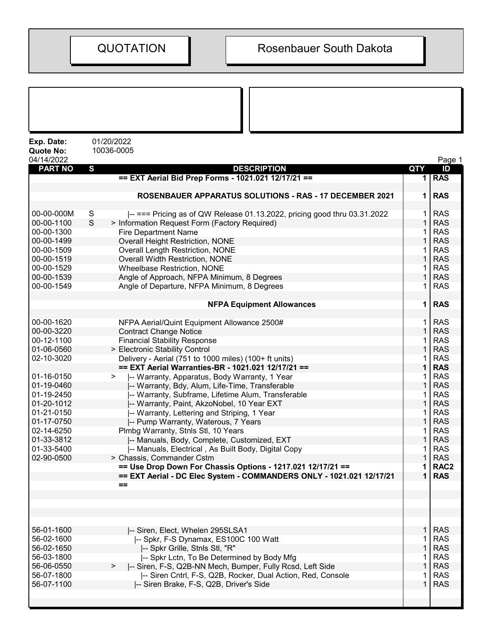| Exp. Date:<br><b>Quote No:</b> | 01/20/2022<br>10036-0005                                                      |             |                          |
|--------------------------------|-------------------------------------------------------------------------------|-------------|--------------------------|
| 04/14/2022<br><b>PART NO</b>   | S<br><b>DESCRIPTION</b>                                                       | QTY         | Page 1<br>ID             |
|                                | == EXT Aerial Bid Prep Forms - 1021.021 12/17/21 ==                           |             | 1 RAS                    |
|                                |                                                                               |             |                          |
|                                | <b>ROSENBAUER APPARATUS SOLUTIONS - RAS - 17 DECEMBER 2021</b>                | 1           | <b>RAS</b>               |
| 00-00-000M                     | -- === Pricing as of QW Release 01.13.2022, pricing good thru 03.31.2022<br>S |             | <b>RAS</b>               |
| 00-00-1100                     | S<br>> Information Request Form (Factory Required)                            |             | <b>RAS</b>               |
| 00-00-1300                     | <b>Fire Department Name</b>                                                   |             | <b>RAS</b>               |
| 00-00-1499                     | <b>Overall Height Restriction, NONE</b>                                       |             | <b>RAS</b>               |
| 00-00-1509                     | <b>Overall Length Restriction, NONE</b>                                       |             | <b>RAS</b>               |
| 00-00-1519                     | Overall Width Restriction, NONE                                               | 1           | <b>RAS</b>               |
| 00-00-1529                     | <b>Wheelbase Restriction, NONE</b>                                            |             | <b>RAS</b>               |
| 00-00-1539                     | Angle of Approach, NFPA Minimum, 8 Degrees                                    |             | <b>RAS</b>               |
| 00-00-1549                     | Angle of Departure, NFPA Minimum, 8 Degrees                                   |             | <b>RAS</b>               |
|                                | <b>NFPA Equipment Allowances</b>                                              | 1           | <b>RAS</b>               |
| 00-00-1620                     | NFPA Aerial/Quint Equipment Allowance 2500#                                   |             | <b>RAS</b>               |
| 00-00-3220                     | <b>Contract Change Notice</b>                                                 | $\mathbf 1$ | <b>RAS</b>               |
| 00-12-1100                     | <b>Financial Stability Response</b>                                           |             | <b>RAS</b>               |
| 01-06-0560                     | > Electronic Stability Control                                                |             | <b>RAS</b>               |
| 02-10-3020                     | Delivery - Aerial (751 to 1000 miles) (100+ ft units)                         |             | <b>RAS</b>               |
|                                | == EXT Aerial Warranties-BR - 1021.021 12/17/21 ==                            |             | <b>RAS</b>               |
| 01-16-0150                     | -- Warranty, Apparatus, Body Warranty, 1 Year<br>➤                            |             | <b>RAS</b>               |
| 01-19-0460                     | -- Warranty, Bdy, Alum, Life-Time, Transferable                               |             | <b>RAS</b>               |
| 01-19-2450                     | -- Warranty, Subframe, Lifetime Alum, Transferable                            |             | <b>RAS</b>               |
| 01-20-1012                     | -- Warranty, Paint, AkzoNobel, 10 Year EXT                                    | 1           | <b>RAS</b>               |
| 01-21-0150                     | -- Warranty, Lettering and Striping, 1 Year                                   |             | <b>RAS</b>               |
| 01-17-0750                     | -- Pump Warranty, Waterous, 7 Years                                           |             | <b>RAS</b>               |
| 02-14-6250                     | Plmbg Warranty, Stnls Stl, 10 Years                                           |             | <b>RAS</b>               |
| 01-33-3812                     | -- Manuals, Body, Complete, Customized, EXT                                   |             | <b>RAS</b>               |
| 01-33-5400                     | -- Manuals, Electrical , As Built Body, Digital Copy                          |             | <b>RAS</b>               |
| 02-90-0500                     | > Chassis, Commander Cstm                                                     |             | <b>RAS</b>               |
|                                | == Use Drop Down For Chassis Options - 1217.021 12/17/21 ==                   | 1           | RAC <sub>2</sub>         |
|                                | == EXT Aerial - DC Elec System - COMMANDERS ONLY - 1021.021 12/17/21          | 1           | <b>RAS</b>               |
|                                | $==$                                                                          |             |                          |
|                                |                                                                               |             |                          |
|                                |                                                                               |             |                          |
|                                |                                                                               |             |                          |
|                                |                                                                               |             |                          |
| 56-01-1600<br>56-02-1600       | -- Siren, Elect, Whelen 295SLSA1                                              |             | <b>RAS</b><br><b>RAS</b> |
| 56-02-1650                     | -- Spkr, F-S Dynamax, ES100C 100 Watt<br>-- Spkr Grille, Stnls Stl, "R"       | 1           | <b>RAS</b>               |
| 56-03-1800                     | -- Spkr Lctn, To Be Determined by Body Mfg                                    |             | <b>RAS</b>               |
| 56-06-0550                     | -- Siren, F-S, Q2B-NN Mech, Bumper, Fully Rcsd, Left Side<br>>                |             | <b>RAS</b>               |
| 56-07-1800                     | -- Siren Cntrl, F-S, Q2B, Rocker, Dual Action, Red, Console                   |             | <b>RAS</b>               |
| 56-07-1100                     | -- Siren Brake, F-S, Q2B, Driver's Side                                       | 1           | <b>RAS</b>               |
|                                |                                                                               |             |                          |
|                                |                                                                               |             |                          |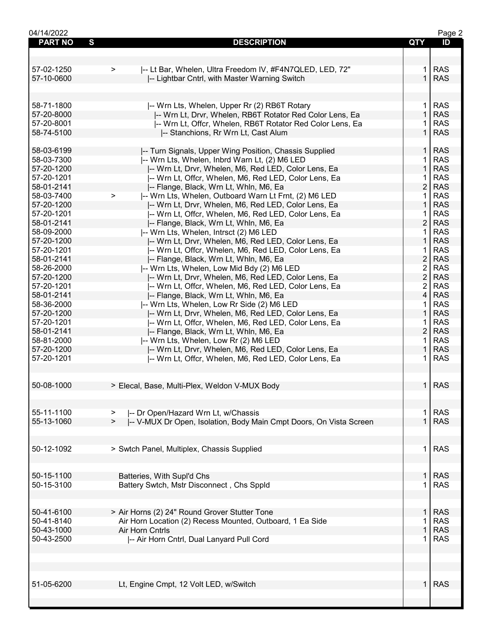| 04/14/2022     |                                                                              |                | Page 2     |
|----------------|------------------------------------------------------------------------------|----------------|------------|
| <b>PART NO</b> | S<br><b>DESCRIPTION</b>                                                      | <b>QTY</b>     | ID         |
|                |                                                                              |                |            |
|                |                                                                              |                |            |
| 57-02-1250     | -- Lt Bar, Whelen, Ultra Freedom IV, #F4N7QLED, LED, 72"<br>$\geq$           | 1.             | <b>RAS</b> |
| 57-10-0600     | -- Lightbar Cntrl, with Master Warning Switch                                | $\mathbf{1}$   | <b>RAS</b> |
|                |                                                                              |                |            |
|                |                                                                              |                |            |
|                |                                                                              |                |            |
| 58-71-1800     | -- Wrn Lts, Whelen, Upper Rr (2) RB6T Rotary                                 | $\mathbf 1$    | <b>RAS</b> |
| 57-20-8000     | -- Wrn Lt, Drvr, Whelen, RB6T Rotator Red Color Lens, Ea                     | $\mathbf{1}$   | <b>RAS</b> |
| 57-20-8001     | -- Wrn Lt, Offcr, Whelen, RB6T Rotator Red Color Lens, Ea                    |                | <b>RAS</b> |
| 58-74-5100     | -- Stanchions, Rr Wrn Lt, Cast Alum                                          | $\mathbf 1$    | <b>RAS</b> |
|                |                                                                              |                |            |
| 58-03-6199     | -- Turn Signals, Upper Wing Position, Chassis Supplied                       | 1              | <b>RAS</b> |
| 58-03-7300     | -- Wrn Lts, Whelen, Inbrd Warn Lt, (2) M6 LED                                | $\mathbf{1}$   | <b>RAS</b> |
| 57-20-1200     | -- Wrn Lt, Drvr, Whelen, M6, Red LED, Color Lens, Ea                         | $\mathbf{1}$   | <b>RAS</b> |
| 57-20-1201     | I-- Wrn Lt, Offcr, Whelen, M6, Red LED, Color Lens, Ea                       | 1.             | <b>RAS</b> |
| 58-01-2141     | -- Flange, Black, Wrn Lt, Whln, M6, Ea                                       | $\overline{2}$ | <b>RAS</b> |
| 58-03-7400     |                                                                              |                | <b>RAS</b> |
|                | -- Wrn Lts, Whelen, Outboard Warn Lt Frnt, (2) M6 LED<br>$\geq$              | 1              |            |
| 57-20-1200     | -- Wrn Lt, Drvr, Whelen, M6, Red LED, Color Lens, Ea                         | $\mathbf{1}$   | <b>RAS</b> |
| 57-20-1201     | -- Wrn Lt, Offcr, Whelen, M6, Red LED, Color Lens, Ea                        | 1              | <b>RAS</b> |
| 58-01-2141     | -- Flange, Black, Wrn Lt, Whln, M6, Ea                                       | $\overline{2}$ | <b>RAS</b> |
| 58-09-2000     | -- Wrn Lts, Whelen, Intrsct (2) M6 LED                                       | $\mathbf{1}$   | <b>RAS</b> |
| 57-20-1200     | -- Wrn Lt, Drvr, Whelen, M6, Red LED, Color Lens, Ea                         | $\mathbf{1}$   | <b>RAS</b> |
| 57-20-1201     | I-- Wrn Lt, Offcr, Whelen, M6, Red LED, Color Lens, Ea                       | 1              | <b>RAS</b> |
| 58-01-2141     | -- Flange, Black, Wrn Lt, Whln, M6, Ea                                       | $\overline{2}$ | <b>RAS</b> |
| 58-26-2000     | -- Wrn Lts, Whelen, Low Mid Bdy (2) M6 LED                                   | $\overline{2}$ | <b>RAS</b> |
| 57-20-1200     | -- Wrn Lt, Drvr, Whelen, M6, Red LED, Color Lens, Ea                         | $\overline{2}$ | <b>RAS</b> |
| 57-20-1201     | -- Wrn Lt, Offcr, Whelen, M6, Red LED, Color Lens, Ea                        | $\overline{2}$ | <b>RAS</b> |
| 58-01-2141     |                                                                              | 4              | <b>RAS</b> |
|                | -- Flange, Black, Wrn Lt, Whln, M6, Ea                                       |                |            |
| 58-36-2000     | -- Wrn Lts, Whelen, Low Rr Side (2) M6 LED                                   | 1.             | <b>RAS</b> |
| 57-20-1200     | -- Wrn Lt, Drvr, Whelen, M6, Red LED, Color Lens, Ea                         | $\mathbf{1}$   | <b>RAS</b> |
| 57-20-1201     | I-- Wrn Lt, Offcr, Whelen, M6, Red LED, Color Lens, Ea                       | 1.             | <b>RAS</b> |
| 58-01-2141     | -- Flange, Black, Wrn Lt, Whln, M6, Ea                                       | $\overline{2}$ | <b>RAS</b> |
| 58-81-2000     | -- Wrn Lts, Whelen, Low Rr (2) M6 LED                                        | 1.             | <b>RAS</b> |
| 57-20-1200     | -- Wrn Lt, Drvr, Whelen, M6, Red LED, Color Lens, Ea                         | 1.             | <b>RAS</b> |
| 57-20-1201     | I-- Wrn Lt, Offcr, Whelen, M6, Red LED, Color Lens, Ea                       | 1.             | <b>RAS</b> |
|                |                                                                              |                |            |
|                |                                                                              |                |            |
| 50-08-1000     | > Elecal, Base, Multi-Plex, Weldon V-MUX Body                                |                | $1$ RAS    |
|                |                                                                              |                |            |
|                |                                                                              |                |            |
| 55-11-1100     |                                                                              |                | <b>RAS</b> |
|                | -- Dr Open/Hazard Wrn Lt, w/Chassis<br>$\geq$                                | 1.             |            |
| 55-13-1060     | -- V-MUX Dr Open, Isolation, Body Main Cmpt Doors, On Vista Screen<br>$\geq$ |                | <b>RAS</b> |
|                |                                                                              |                |            |
|                |                                                                              |                |            |
| 50-12-1092     | > Swtch Panel, Multiplex, Chassis Supplied                                   | $\mathbf 1$    | <b>RAS</b> |
|                |                                                                              |                |            |
|                |                                                                              |                |            |
| 50-15-1100     | Batteries, With Supl'd Chs                                                   | 1.             | <b>RAS</b> |
| 50-15-3100     | Battery Swtch, Mstr Disconnect, Chs Sppld                                    | 1.             | <b>RAS</b> |
|                |                                                                              |                |            |
|                |                                                                              |                |            |
| 50-41-6100     | > Air Horns (2) 24" Round Grover Stutter Tone                                | 1.             | <b>RAS</b> |
| 50-41-8140     | Air Horn Location (2) Recess Mounted, Outboard, 1 Ea Side                    | 1.             | <b>RAS</b> |
| 50-43-1000     | Air Horn Cntrls                                                              | $\mathbf{1}$   | <b>RAS</b> |
|                |                                                                              |                |            |
| 50-43-2500     | -- Air Horn Cntrl, Dual Lanyard Pull Cord                                    | 1              | <b>RAS</b> |
|                |                                                                              |                |            |
|                |                                                                              |                |            |
|                |                                                                              |                |            |
|                |                                                                              |                |            |
| 51-05-6200     | Lt, Engine Cmpt, 12 Volt LED, w/Switch                                       | 1.             | <b>RAS</b> |
|                |                                                                              |                |            |
|                |                                                                              |                |            |
|                |                                                                              |                |            |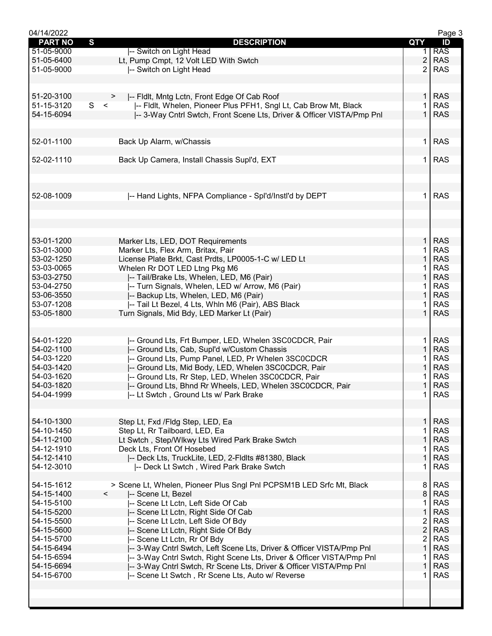| 04/14/2022     |                                                                        |                | Page 3     |
|----------------|------------------------------------------------------------------------|----------------|------------|
| <b>PART NO</b> | $\mathbf{s}$<br><b>DESCRIPTION</b>                                     | QTY            | ID         |
| 51-05-9000     | -- Switch on Light Head                                                | 1.             | <b>RAS</b> |
| 51-05-6400     | Lt, Pump Cmpt, 12 Volt LED With Swtch                                  | $\overline{c}$ | <b>RAS</b> |
| 51-05-9000     | -- Switch on Light Head                                                | $\overline{2}$ | <b>RAS</b> |
|                |                                                                        |                |            |
|                |                                                                        |                |            |
| 51-20-3100     |                                                                        | $\mathbf{1}$   | <b>RAS</b> |
|                | -- Fldlt, Mntg Lctn, Front Edge Of Cab Roof<br>S <                     |                | <b>RAS</b> |
| 51-15-3120     | -- Fidlt, Whelen, Pioneer Plus PFH1, Sngl Lt, Cab Brow Mt, Black       | 1              |            |
| 54-15-6094     | I-- 3-Way Cntrl Swtch, Front Scene Lts, Driver & Officer VISTA/Pmp Pnl | $\mathbf{1}$   | <b>RAS</b> |
|                |                                                                        |                |            |
|                |                                                                        |                |            |
| 52-01-1100     | Back Up Alarm, w/Chassis                                               | $\mathbf{1}$   | <b>RAS</b> |
|                |                                                                        |                |            |
| 52-02-1110     | Back Up Camera, Install Chassis Supl'd, EXT                            | $\mathbf{1}$   | <b>RAS</b> |
|                |                                                                        |                |            |
|                |                                                                        |                |            |
|                |                                                                        |                |            |
| 52-08-1009     | -- Hand Lights, NFPA Compliance - Spl'd/Instl'd by DEPT                | 1              | <b>RAS</b> |
|                |                                                                        |                |            |
|                |                                                                        |                |            |
|                |                                                                        |                |            |
|                |                                                                        |                |            |
| 53-01-1200     | Marker Lts, LED, DOT Requirements                                      | $\mathbf{1}$   | <b>RAS</b> |
| 53-01-3000     | Marker Lts, Flex Arm, Britax, Pair                                     | 1              | <b>RAS</b> |
| 53-02-1250     | License Plate Brkt, Cast Prdts, LP0005-1-C w/ LED Lt                   | $\mathbf{1}$   | <b>RAS</b> |
|                |                                                                        |                | <b>RAS</b> |
| 53-03-0065     | Whelen Rr DOT LED Ltng Pkg M6                                          | 1              |            |
| 53-03-2750     | -- Tail/Brake Lts, Whelen, LED, M6 (Pair)                              | 1              | <b>RAS</b> |
| 53-04-2750     | -- Turn Signals, Whelen, LED w/ Arrow, M6 (Pair)                       | 1              | <b>RAS</b> |
| 53-06-3550     | -- Backup Lts, Whelen, LED, M6 (Pair)                                  | $\mathbf{1}$   | <b>RAS</b> |
| 53-07-1208     | -- Tail Lt Bezel, 4 Lts, Whln M6 (Pair), ABS Black                     | 1              | <b>RAS</b> |
| 53-05-1800     | Turn Signals, Mid Bdy, LED Marker Lt (Pair)                            | $\mathbf{1}$   | <b>RAS</b> |
|                |                                                                        |                |            |
|                |                                                                        |                |            |
| 54-01-1220     | -- Ground Lts, Frt Bumper, LED, Whelen 3SC0CDCR, Pair                  | 1.             | <b>RAS</b> |
| 54-02-1100     | -- Ground Lts, Cab, Supl'd w/Custom Chassis                            | 1              | <b>RAS</b> |
| 54-03-1220     | -- Ground Lts, Pump Panel, LED, Pr Whelen 3SC0CDCR                     | 1              | <b>RAS</b> |
| 54-03-1420     | -- Ground Lts, Mid Body, LED, Whelen 3SC0CDCR, Pair                    | 1              | <b>RAS</b> |
| 54-03-1620     | -- Ground Lts, Rr Step, LED, Whelen 3SC0CDCR, Pair                     |                | <b>RAS</b> |
| 54-03-1820     | -- Ground Lts, Bhnd Rr Wheels, LED, Whelen 3SC0CDCR, Pair              | 1              | <b>RAS</b> |
|                |                                                                        |                |            |
| 54-04-1999     | -- Lt Swtch, Ground Lts w/ Park Brake                                  | $\mathbf{1}$   | <b>RAS</b> |
|                |                                                                        |                |            |
|                |                                                                        |                |            |
| 54-10-1300     | Step Lt, Fxd /Fldg Step, LED, Ea                                       | 1.             | <b>RAS</b> |
| 54-10-1450     | Step Lt, Rr Tailboard, LED, Ea                                         | 1              | <b>RAS</b> |
| 54-11-2100     | Lt Swtch, Step/Wlkwy Lts Wired Park Brake Swtch                        | $\mathbf{1}$   | <b>RAS</b> |
| 54-12-1910     | Deck Lts, Front Of Hosebed                                             | 1              | <b>RAS</b> |
| 54-12-1410     | -- Deck Lts, TruckLite, LED, 2-Fldlts #81380, Black                    | $\mathbf{1}$   | <b>RAS</b> |
| 54-12-3010     | -- Deck Lt Swtch, Wired Park Brake Swtch                               | 1              | <b>RAS</b> |
|                |                                                                        |                |            |
| 54-15-1612     | > Scene Lt, Whelen, Pioneer Plus Sngl Pnl PCPSM1B LED Srfc Mt, Black   | 8              | <b>RAS</b> |
| 54-15-1400     | -- Scene Lt, Bezel<br>$\prec$                                          | 8              | <b>RAS</b> |
| 54-15-5100     | -- Scene Lt Lctn, Left Side Of Cab                                     | 1              | <b>RAS</b> |
| 54-15-5200     | -- Scene Lt Lctn, Right Side Of Cab                                    | $\mathbf{1}$   | <b>RAS</b> |
|                |                                                                        |                |            |
| 54-15-5500     | -- Scene Lt Lctn, Left Side Of Bdy                                     | 2              | <b>RAS</b> |
| 54-15-5600     | -- Scene Lt Lctn, Right Side Of Bdy                                    | $\overline{c}$ | <b>RAS</b> |
| 54-15-5700     | -- Scene Lt Lctn, Rr Of Bdy                                            | 2              | <b>RAS</b> |
| 54-15-6494     | -- 3-Way Cntrl Swtch, Left Scene Lts, Driver & Officer VISTA/Pmp Pnl   | 1              | <b>RAS</b> |
| 54-15-6594     | -- 3-Way Cntrl Swtch, Right Scene Lts, Driver & Officer VISTA/Pmp Pnl  | 1              | <b>RAS</b> |
| 54-15-6694     | -- 3-Way Cntrl Swtch, Rr Scene Lts, Driver & Officer VISTA/Pmp Pnl     | 1              | <b>RAS</b> |
| 54-15-6700     | -- Scene Lt Swtch, Rr Scene Lts, Auto w/ Reverse                       | 1              | <b>RAS</b> |
|                |                                                                        |                |            |
|                |                                                                        |                |            |
|                |                                                                        |                |            |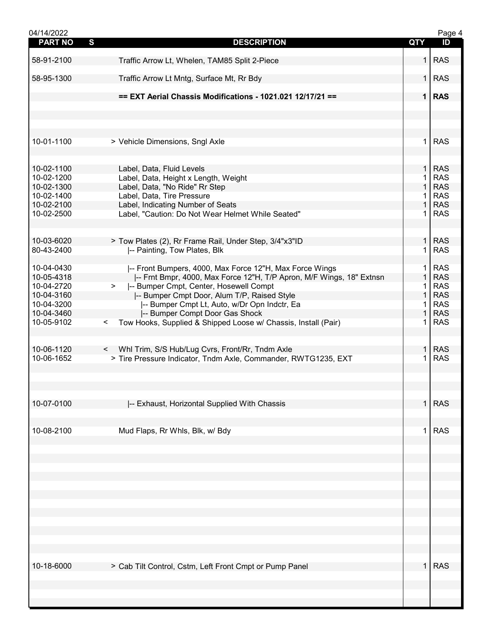| 04/14/2022               |                                                                                                                     |                   | Page 4                   |
|--------------------------|---------------------------------------------------------------------------------------------------------------------|-------------------|--------------------------|
| <b>PART NO</b>           | S<br><b>DESCRIPTION</b>                                                                                             | <b>QTY</b>        | ID                       |
| 58-91-2100               | Traffic Arrow Lt, Whelen, TAM85 Split 2-Piece                                                                       | 1 <sup>1</sup>    | <b>RAS</b>               |
| 58-95-1300               | Traffic Arrow Lt Mntg, Surface Mt, Rr Bdy                                                                           | 1 I               | <b>RAS</b>               |
|                          | == EXT Aerial Chassis Modifications - 1021.021 12/17/21 ==                                                          |                   | $1$ RAS                  |
|                          |                                                                                                                     |                   |                          |
| 10-01-1100               | > Vehicle Dimensions, Sngl Axle                                                                                     | $\mathbf 1$       | <b>RAS</b>               |
| 10-02-1100               |                                                                                                                     | $\mathbf{1}$      | <b>RAS</b>               |
| 10-02-1200               | Label, Data, Fluid Levels                                                                                           | 1.                | <b>RAS</b>               |
| 10-02-1300               | Label, Data, Height x Length, Weight<br>Label, Data, "No Ride" Rr Step                                              | $\mathbf{1}$      | <b>RAS</b>               |
| 10-02-1400               | Label, Data, Tire Pressure                                                                                          | $\mathbf 1$       | <b>RAS</b>               |
| 10-02-2100               | Label, Indicating Number of Seats                                                                                   | 1                 | <b>RAS</b>               |
| 10-02-2500               | Label, "Caution: Do Not Wear Helmet While Seated"                                                                   | 1.                | <b>RAS</b>               |
|                          |                                                                                                                     |                   |                          |
| 10-03-6020               | > Tow Plates (2), Rr Frame Rail, Under Step, 3/4"x3"ID                                                              | 1                 | <b>RAS</b>               |
| 80-43-2400               | -- Painting, Tow Plates, Blk                                                                                        | $\mathbf{1}$      | <b>RAS</b>               |
| 10-04-0430               | -- Front Bumpers, 4000, Max Force 12"H, Max Force Wings                                                             | 1                 | <b>RAS</b>               |
| 10-05-4318               | -- Frnt Bmpr, 4000, Max Force 12"H, T/P Apron, M/F Wings, 18" Extnsn                                                | $\mathbf{1}$      | <b>RAS</b>               |
| 10-04-2720               | -- Bumper Cmpt, Center, Hosewell Compt<br>>                                                                         | 1.                | <b>RAS</b>               |
| 10-04-3160               | -- Bumper Cmpt Door, Alum T/P, Raised Style                                                                         | $\mathbf{1}$      | <b>RAS</b>               |
| 10-04-3200               | -- Bumper Cmpt Lt, Auto, w/Dr Opn Indctr, Ea                                                                        | 1                 | <b>RAS</b>               |
| 10-04-3460               | -- Bumper Compt Door Gas Shock                                                                                      | $\mathbf{1}$      | <b>RAS</b>               |
| 10-05-9102               | Tow Hooks, Supplied & Shipped Loose w/ Chassis, Install (Pair)<br>$\lt$                                             | 1.                | <b>RAS</b>               |
| 10-06-1120<br>10-06-1652 | < Whl Trim, S/S Hub/Lug Cvrs, Front/Rr, Tndm Axle<br>> Tire Pressure Indicator, Tndm Axle, Commander, RWTG1235, EXT | $\mathbf{1}$<br>1 | <b>RAS</b><br><b>RAS</b> |
|                          |                                                                                                                     |                   |                          |
| 10-07-0100               | -- Exhaust, Horizontal Supplied With Chassis                                                                        | 1 <sup>1</sup>    | <b>RAS</b>               |
| 10-08-2100               | Mud Flaps, Rr Whls, Blk, w/ Bdy                                                                                     | 1.                | <b>RAS</b>               |
|                          |                                                                                                                     |                   |                          |
|                          |                                                                                                                     |                   |                          |
|                          |                                                                                                                     |                   |                          |
|                          |                                                                                                                     |                   |                          |
|                          |                                                                                                                     |                   |                          |
|                          |                                                                                                                     |                   |                          |
| 10-18-6000               | > Cab Tilt Control, Cstm, Left Front Cmpt or Pump Panel                                                             |                   | $1$ RAS                  |
|                          |                                                                                                                     |                   |                          |
|                          |                                                                                                                     |                   |                          |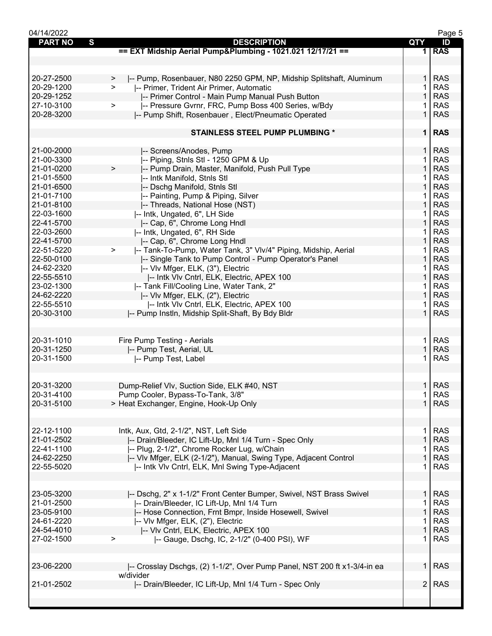| 04/14/2022                    |                                                                          |                   | Page 5     |
|-------------------------------|--------------------------------------------------------------------------|-------------------|------------|
| <b>PART NO</b><br>$\mathbf s$ | <b>DESCRIPTION</b>                                                       | QTY               | ID         |
|                               | == EXT Midship Aerial Pump&Plumbing - 1021.021 12/17/21 ==               |                   | 1 RAS      |
|                               |                                                                          |                   |            |
|                               |                                                                          |                   |            |
| 20-27-2500                    | -- Pump, Rosenbauer, N80 2250 GPM, NP, Midship Splitshaft, Aluminum<br>> | 1 <sup>1</sup>    | <b>RAS</b> |
| 20-29-1200                    | -- Primer, Trident Air Primer, Automatic<br>$\geq$                       | 1                 | <b>RAS</b> |
| 20-29-1252                    | -- Primer Control - Main Pump Manual Push Button                         | $\mathbf{1}$      | <b>RAS</b> |
| 27-10-3100                    | -- Pressure Gvrnr, FRC, Pump Boss 400 Series, w/Bdy<br>$\, > \,$         | 1.                | <b>RAS</b> |
| 20-28-3200                    |                                                                          | $\mathbf 1$       | <b>RAS</b> |
|                               | -- Pump Shift, Rosenbauer, Elect/Pneumatic Operated                      |                   |            |
|                               |                                                                          |                   |            |
|                               | <b>STAINLESS STEEL PUMP PLUMBING *</b>                                   |                   | $1$ RAS    |
|                               |                                                                          |                   |            |
| 21-00-2000                    | -- Screens/Anodes, Pump                                                  | 1 <sup>1</sup>    | <b>RAS</b> |
| 21-00-3300                    | -- Piping, Stnls Stl - 1250 GPM & Up                                     | 1.                | <b>RAS</b> |
| 21-01-0200                    | -- Pump Drain, Master, Manifold, Push Pull Type<br>$\geq$                | $\mathbf{1}$      | <b>RAS</b> |
| 21-01-5500                    | -- Intk Manifold, Stnls Stl                                              | 1.                | <b>RAS</b> |
| 21-01-6500                    | -- Dschg Manifold, Stnls Stl                                             | 1                 | <b>RAS</b> |
| 21-01-7100                    | -- Painting, Pump & Piping, Silver                                       | 1                 | <b>RAS</b> |
| 21-01-8100                    | -- Threads, National Hose (NST)                                          | 1                 | <b>RAS</b> |
| 22-03-1600                    | -- Intk, Ungated, 6", LH Side                                            | 1                 | <b>RAS</b> |
| 22-41-5700                    | -- Cap, 6", Chrome Long Hndl                                             | 1                 | <b>RAS</b> |
| 22-03-2600                    | -- Intk, Ungated, 6", RH Side                                            | 1                 | <b>RAS</b> |
| 22-41-5700                    | -- Cap, 6", Chrome Long Hndl                                             | $\mathbf{1}$      | <b>RAS</b> |
| 22-51-5220                    | -- Tank-To-Pump, Water Tank, 3" Vlv/4" Piping, Midship, Aerial<br>$\, >$ | 1.                | <b>RAS</b> |
| 22-50-0100                    | -- Single Tank to Pump Control - Pump Operator's Panel                   | $\mathbf 1$       | <b>RAS</b> |
| 24-62-2320                    | -- Vlv Mfger, ELK, (3"), Electric                                        | 1                 | <b>RAS</b> |
| 22-55-5510                    |                                                                          | 1                 | <b>RAS</b> |
|                               | -- Intk VIv Cntrl, ELK, Electric, APEX 100                               |                   |            |
| 23-02-1300                    | -- Tank Fill/Cooling Line, Water Tank, 2"                                | 1                 | <b>RAS</b> |
| 24-62-2220                    | -- Vlv Mfger, ELK, (2"), Electric                                        | $\mathbf{1}$      | <b>RAS</b> |
| 22-55-5510                    | -- Intk VIv Cntrl, ELK, Electric, APEX 100                               | 1                 | <b>RAS</b> |
| 20-30-3100                    | -- Pump Instln, Midship Split-Shaft, By Bdy Bldr                         | $\mathbf{1}$      | <b>RAS</b> |
|                               |                                                                          |                   |            |
|                               |                                                                          |                   |            |
| 20-31-1010                    | Fire Pump Testing - Aerials                                              | $\mathbf{1}$      | <b>RAS</b> |
| 20-31-1250                    | -- Pump Test, Aerial, UL                                                 | 1                 | <b>RAS</b> |
| 20-31-1500                    | -- Pump Test, Label                                                      | 1                 | <b>RAS</b> |
|                               |                                                                          |                   |            |
|                               |                                                                          |                   |            |
| 20-31-3200                    | Dump-Relief Vlv, Suction Side, ELK #40, NST                              |                   | 1 RAS      |
| 20-31-4100                    | Pump Cooler, Bypass-To-Tank, 3/8"                                        | 1 <sup>1</sup>    | <b>RAS</b> |
| 20-31-5100                    | > Heat Exchanger, Engine, Hook-Up Only                                   | 1 <sup>1</sup>    | <b>RAS</b> |
|                               |                                                                          |                   |            |
|                               |                                                                          |                   |            |
| 22-12-1100                    | Intk, Aux, Gtd, 2-1/2", NST, Left Side                                   | 1.                | <b>RAS</b> |
| 21-01-2502                    | -- Drain/Bleeder, IC Lift-Up, Mnl 1/4 Turn - Spec Only                   | $\mathbf{1}$      | <b>RAS</b> |
| 22-41-1100                    | -- Plug, 2-1/2", Chrome Rocker Lug, w/Chain                              |                   | <b>RAS</b> |
|                               |                                                                          | 1<br>$\mathbf{1}$ |            |
| 24-62-2250                    | -- VIv Mfger, ELK (2-1/2"), Manual, Swing Type, Adjacent Control         |                   | <b>RAS</b> |
| 22-55-5020                    | -- Intk VIv Cntrl, ELK, Mnl Swing Type-Adjacent                          | 1.                | <b>RAS</b> |
|                               |                                                                          |                   |            |
|                               |                                                                          |                   |            |
| 23-05-3200                    | -- Dschg, 2" x 1-1/2" Front Center Bumper, Swivel, NST Brass Swivel      | 1 <sup>1</sup>    | <b>RAS</b> |
| 21-01-2500                    | -- Drain/Bleeder, IC Lift-Up, Mnl 1/4 Turn                               | 1                 | <b>RAS</b> |
| 23-05-9100                    | -- Hose Connection, Frnt Bmpr, Inside Hosewell, Swivel                   | $\mathbf{1}$      | <b>RAS</b> |
| 24-61-2220                    | -- VIv Mfger, ELK, (2"), Electric                                        | 1                 | <b>RAS</b> |
| 24-54-4010                    | -- VIv Cntrl, ELK, Electric, APEX 100                                    | $\mathbf{1}$      | <b>RAS</b> |
| 27-02-1500                    | -- Gauge, Dschg, IC, 2-1/2" (0-400 PSI), WF<br>>                         | $\mathbf{1}$      | <b>RAS</b> |
|                               |                                                                          |                   |            |
|                               |                                                                          |                   |            |
| 23-06-2200                    | -- Crosslay Dschgs, (2) 1-1/2", Over Pump Panel, NST 200 ft x1-3/4-in ea | 1 <sup>1</sup>    | <b>RAS</b> |
|                               | w/divider                                                                |                   |            |
| 21-01-2502                    | -- Drain/Bleeder, IC Lift-Up, Mnl 1/4 Turn - Spec Only                   | 2                 | <b>RAS</b> |
|                               |                                                                          |                   |            |
|                               |                                                                          |                   |            |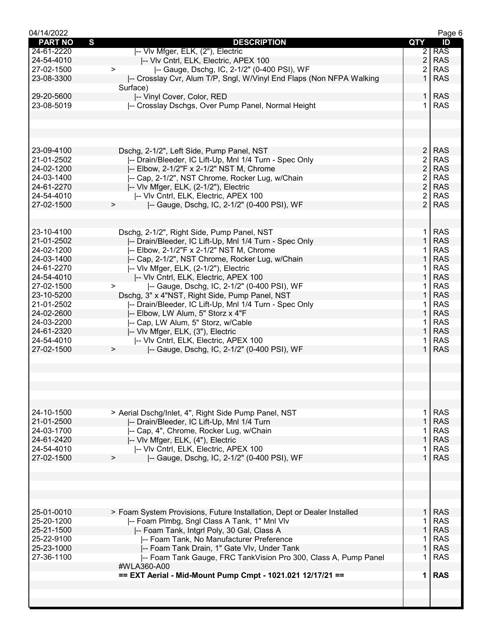| 04/14/2022     |                                                                         |                | Page 6     |
|----------------|-------------------------------------------------------------------------|----------------|------------|
| <b>PART NO</b> | $\mathbf{s}$<br><b>DESCRIPTION</b>                                      | QTY            | ID         |
| 24-61-2220     | -- VIv Mfger, ELK, (2"), Electric                                       | $\overline{2}$ | <b>RAS</b> |
| 24-54-4010     | -- VIv Cntrl, ELK, Electric, APEX 100                                   | $\overline{2}$ | <b>RAS</b> |
| 27-02-1500     | -- Gauge, Dschg, IC, 2-1/2" (0-400 PSI), WF<br>$\geq$                   | $\overline{2}$ | <b>RAS</b> |
| 23-08-3300     | -- Crosslay Cvr, Alum T/P, Sngl, W/Vinyl End Flaps (Non NFPA Walking    | 1              | <b>RAS</b> |
|                | Surface)                                                                |                |            |
|                |                                                                         |                |            |
| 29-20-5600     | -- Vinyl Cover, Color, RED                                              | $\mathbf{1}$   | <b>RAS</b> |
| 23-08-5019     | -- Crosslay Dschgs, Over Pump Panel, Normal Height                      | 1              | <b>RAS</b> |
|                |                                                                         |                |            |
|                |                                                                         |                |            |
|                |                                                                         |                |            |
|                |                                                                         |                |            |
| 23-09-4100     | Dschg, 2-1/2", Left Side, Pump Panel, NST                               | $\overline{c}$ | <b>RAS</b> |
| 21-01-2502     | -- Drain/Bleeder, IC Lift-Up, Mnl 1/4 Turn - Spec Only                  | $\overline{2}$ | <b>RAS</b> |
|                |                                                                         |                |            |
| 24-02-1200     | -- Elbow, 2-1/2"F x 2-1/2" NST M, Chrome                                | $\overline{2}$ | <b>RAS</b> |
| 24-03-1400     | -- Cap, 2-1/2", NST Chrome, Rocker Lug, w/Chain                         | $\overline{2}$ | <b>RAS</b> |
| 24-61-2270     | -- VIv Mfger, ELK, (2-1/2"), Electric                                   | $\overline{2}$ | <b>RAS</b> |
| 24-54-4010     | -- VIv Cntrl, ELK, Electric, APEX 100                                   | $\overline{2}$ | <b>RAS</b> |
| 27-02-1500     | -- Gauge, Dschg, IC, 2-1/2" (0-400 PSI), WF<br>$\geq$                   | $\overline{2}$ | <b>RAS</b> |
|                |                                                                         |                |            |
|                |                                                                         |                |            |
| 23-10-4100     | Dschg, 2-1/2", Right Side, Pump Panel, NST                              |                | <b>RAS</b> |
|                |                                                                         | 1.             |            |
| 21-01-2502     | -- Drain/Bleeder, IC Lift-Up, Mnl 1/4 Turn - Spec Only                  | $\mathbf{1}$   | <b>RAS</b> |
| 24-02-1200     | -- Elbow, 2-1/2"F x 2-1/2" NST M, Chrome                                | 1.             | <b>RAS</b> |
| 24-03-1400     | -- Cap, 2-1/2", NST Chrome, Rocker Lug, w/Chain                         | $\mathbf{1}$   | <b>RAS</b> |
| 24-61-2270     | -- VIv Mfger, ELK, (2-1/2"), Electric                                   | 1.             | <b>RAS</b> |
| 24-54-4010     | -- VIv Cntrl, ELK, Electric, APEX 100                                   | $\mathbf{1}$   | <b>RAS</b> |
| 27-02-1500     | -- Gauge, Dschg, IC, 2-1/2" (0-400 PSI), WF<br>$\geq$                   | 1              | <b>RAS</b> |
| 23-10-5200     |                                                                         | $\mathbf 1$    | <b>RAS</b> |
|                | Dschg, 3" x 4"NST, Right Side, Pump Panel, NST                          |                |            |
| 21-01-2502     | -- Drain/Bleeder, IC Lift-Up, Mnl 1/4 Turn - Spec Only                  | 1              | <b>RAS</b> |
| 24-02-2600     | -- Elbow, LW Alum, 5" Storz x 4"F                                       | $\mathbf{1}$   | <b>RAS</b> |
| 24-03-2200     | -- Cap, LW Alum, 5" Storz, w/Cable                                      | 1.             | <b>RAS</b> |
| 24-61-2320     | -- VIv Mfger, ELK, (3"), Electric                                       | $\mathbf{1}$   | <b>RAS</b> |
| 24-54-4010     | -- VIv Cntrl, ELK, Electric, APEX 100                                   | 1.             | <b>RAS</b> |
| 27-02-1500     | -- Gauge, Dschg, IC, 2-1/2" (0-400 PSI), WF<br>$\geq$                   | $\mathbf{1}$   | <b>RAS</b> |
|                |                                                                         |                |            |
|                |                                                                         |                |            |
|                |                                                                         |                |            |
|                |                                                                         |                |            |
|                |                                                                         |                |            |
|                |                                                                         |                |            |
|                |                                                                         |                |            |
| 24-10-1500     | > Aerial Dschg/Inlet, 4", Right Side Pump Panel, NST                    | 1              | <b>RAS</b> |
| 21-01-2500     | -- Drain/Bleeder, IC Lift-Up, Mnl 1/4 Turn                              | $\mathbf{1}$   | <b>RAS</b> |
| 24-03-1700     | -- Cap, 4", Chrome, Rocker Lug, w/Chain                                 |                | <b>RAS</b> |
|                |                                                                         |                |            |
| 24-61-2420     | -- VIv Mfger, ELK, (4"), Electric                                       | $\mathbf 1$    | <b>RAS</b> |
| 24-54-4010     | -- VIv Cntrl, ELK, Electric, APEX 100                                   | 1              | <b>RAS</b> |
| 27-02-1500     | -- Gauge, Dschg, IC, 2-1/2" (0-400 PSI), WF<br>$\geq$                   | $\mathbf{1}$   | <b>RAS</b> |
|                |                                                                         |                |            |
|                |                                                                         |                |            |
|                |                                                                         |                |            |
|                |                                                                         |                |            |
|                |                                                                         |                |            |
|                |                                                                         |                |            |
| 25-01-0010     | > Foam System Provisions, Future Installation, Dept or Dealer Installed |                | <b>RAS</b> |
| 25-20-1200     | -- Foam Plmbg, Sngl Class A Tank, 1" Mnl Vlv                            | 1              | <b>RAS</b> |
| 25-21-1500     | -- Foam Tank, Intgrl Poly, 30 Gal, Class A                              | $\mathbf{1}$   | <b>RAS</b> |
| 25-22-9100     | -- Foam Tank, No Manufacturer Preference                                | 1.             | <b>RAS</b> |
| 25-23-1000     | -- Foam Tank Drain, 1" Gate VIv, Under Tank                             | $\mathbf{1}$   | <b>RAS</b> |
| 27-36-1100     | -- Foam Tank Gauge, FRC TankVision Pro 300, Class A, Pump Panel         | 1.             | <b>RAS</b> |
|                |                                                                         |                |            |
|                | #WLA360-A00                                                             |                |            |
|                | == EXT Aerial - Mid-Mount Pump Cmpt - 1021.021 12/17/21 ==              | $\mathbf 1$    | <b>RAS</b> |
|                |                                                                         |                |            |
|                |                                                                         |                |            |
|                |                                                                         |                |            |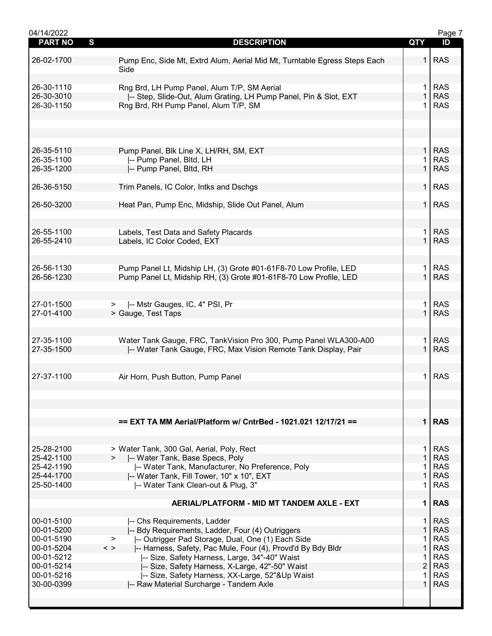| 04/14/2022     |                                                                             |                | Page 7     |
|----------------|-----------------------------------------------------------------------------|----------------|------------|
| <b>PART NO</b> | S<br><b>DESCRIPTION</b>                                                     | QTY            | ID         |
|                |                                                                             |                |            |
| 26-02-1700     | Pump Enc, Side Mt, Extrd Alum, Aerial Mid Mt, Turntable Egress Steps Each   | 1.             | <b>RAS</b> |
|                | Side                                                                        |                |            |
|                |                                                                             |                |            |
| 26-30-1110     | Rng Brd, LH Pump Panel, Alum T/P, SM Aerial                                 | $\mathbf 1$    | <b>RAS</b> |
| 26-30-3010     | -- Step, Slide-Out, Alum Grating, LH Pump Panel, Pin & Slot, EXT            | $\mathbf{1}$   | <b>RAS</b> |
|                |                                                                             | 1              | <b>RAS</b> |
| 26-30-1150     | Rng Brd, RH Pump Panel, Alum T/P, SM                                        |                |            |
|                |                                                                             |                |            |
|                |                                                                             |                |            |
|                |                                                                             |                |            |
|                |                                                                             |                |            |
| 26-35-5110     | Pump Panel, Blk Line X, LH/RH, SM, EXT                                      | 1 <sup>1</sup> | <b>RAS</b> |
| 26-35-1100     | -- Pump Panel, Bltd, LH                                                     |                | <b>RAS</b> |
| 26-35-1200     | -- Pump Panel, Bltd, RH                                                     | $\mathbf{1}$   | <b>RAS</b> |
|                |                                                                             |                |            |
| 26-36-5150     | Trim Panels, IC Color, Intks and Dschgs                                     | $\mathbf{1}$   | <b>RAS</b> |
|                |                                                                             |                |            |
| 26-50-3200     | Heat Pan, Pump Enc, Midship, Slide Out Panel, Alum                          | 1 <sup>1</sup> | <b>RAS</b> |
|                |                                                                             |                |            |
|                |                                                                             |                |            |
|                |                                                                             |                |            |
| 26-55-1100     | Labels, Test Data and Safety Placards                                       | $\mathbf 1$    | <b>RAS</b> |
| 26-55-2410     | Labels, IC Color Coded, EXT                                                 | $\mathbf{1}$   | <b>RAS</b> |
|                |                                                                             |                |            |
|                |                                                                             |                |            |
| 26-56-1130     | Pump Panel Lt, Midship LH, (3) Grote #01-61F8-70 Low Profile, LED           | 1              | <b>RAS</b> |
| 26-56-1230     | Pump Panel Lt, Midship RH, (3) Grote #01-61F8-70 Low Profile, LED           |                | <b>RAS</b> |
|                |                                                                             |                |            |
|                |                                                                             |                |            |
| 27-01-1500     | -- Mstr Gauges, IC, 4" PSI, Pr<br>⋗                                         | $\mathbf 1$    | <b>RAS</b> |
| 27-01-4100     | > Gauge, Test Taps                                                          | $\mathbf{1}$   | <b>RAS</b> |
|                |                                                                             |                |            |
|                |                                                                             |                |            |
| 27-35-1100     | Water Tank Gauge, FRC, TankVision Pro 300, Pump Panel WLA300-A00            | 1.             | <b>RAS</b> |
| 27-35-1500     | -- Water Tank Gauge, FRC, Max Vision Remote Tank Display, Pair              | $\mathbf{1}$   | <b>RAS</b> |
|                |                                                                             |                |            |
|                |                                                                             |                |            |
| 27-37-1100     | Air Horn, Push Button, Pump Panel                                           | 1.             | <b>RAS</b> |
|                |                                                                             |                |            |
|                |                                                                             |                |            |
|                |                                                                             |                |            |
|                |                                                                             |                |            |
|                |                                                                             |                |            |
|                | == EXT TA MM Aerial/Platform w/ CntrBed - 1021.021 12/17/21 ==              |                | $1$ RAS    |
|                |                                                                             |                |            |
|                |                                                                             |                |            |
| 25-28-2100     | > Water Tank, 300 Gal, Aerial, Poly, Rect                                   | $\mathbf 1$    | <b>RAS</b> |
| 25-42-1100     | -- Water Tank, Base Specs, Poly                                             | $\mathbf{1}$   | <b>RAS</b> |
| 25-42-1190     | -- Water Tank, Manufacturer, No Preference, Poly                            | 1              | <b>RAS</b> |
| 25-44-1700     | -- Water Tank, Fill Tower, 10" x 10", EXT                                   | $\mathbf{1}$   | <b>RAS</b> |
| 25-50-1400     | -- Water Tank Clean-out & Plug, 3"                                          | 1              | <b>RAS</b> |
|                |                                                                             |                |            |
|                | AERIAL/PLATFORM - MID MT TANDEM AXLE - EXT                                  | $\mathbf 1$    | <b>RAS</b> |
|                |                                                                             |                |            |
| 00-01-5100     | -- Chs Requirements, Ladder                                                 | $\mathbf 1$    | <b>RAS</b> |
| 00-01-5200     | -- Bdy Requirements, Ladder, Four (4) Outriggers                            | $\mathbf{1}$   | <b>RAS</b> |
| 00-01-5190     | -- Outrigger Pad Storage, Dual, One (1) Each Side<br>➤                      | 1              | <b>RAS</b> |
| 00-01-5204     | $\langle$ ><br> -- Harness, Safety, Pac Mule, Four (4), Provd'd By Bdy Bldr | $\mathbf 1$    | <b>RAS</b> |
| 00-01-5212     | -- Size, Safety Harness, Large, 34"-40" Waist                               | 1              | <b>RAS</b> |
| 00-01-5214     | -- Size, Safety Harness, X-Large, 42"-50" Waist                             | $\overline{2}$ | <b>RAS</b> |
| 00-01-5216     | -- Size, Safety Harness, XX-Large, 52"&Up Waist                             | 1              | <b>RAS</b> |
| 30-00-0399     | -- Raw Material Surcharge - Tandem Axle                                     |                | <b>RAS</b> |
|                |                                                                             |                |            |
|                |                                                                             |                |            |
|                |                                                                             |                |            |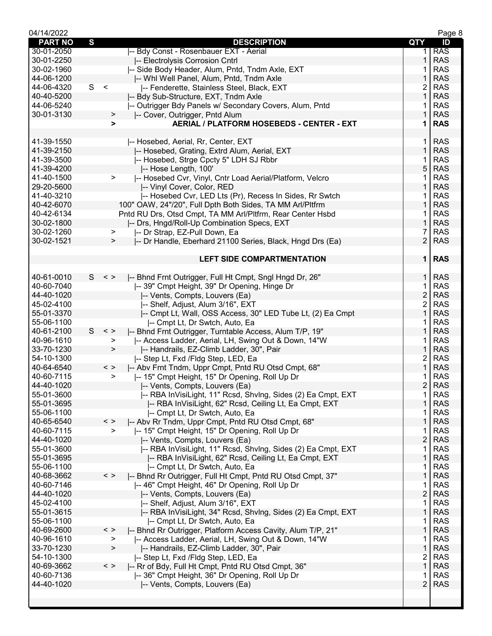| 04/14/2022     |              |               |                                                              |                | Page 8     |
|----------------|--------------|---------------|--------------------------------------------------------------|----------------|------------|
| <b>PART NO</b> | $\mathbf{s}$ |               | <b>DESCRIPTION</b>                                           | QTY            | ID         |
| 30-01-2050     |              |               | I-- Bdy Const - Rosenbauer EXT - Aerial                      | 1.             | <b>RAS</b> |
| 30-01-2250     |              |               | -- Electrolysis Corrosion Cntrl                              | 1              | <b>RAS</b> |
| 30-02-1960     |              |               | -- Side Body Header, Alum, Pntd, Tndm Axle, EXT              |                | <b>RAS</b> |
| 44-06-1200     |              |               | -- Whi Well Panel, Alum, Pntd, Tndm Axle                     | 1              | <b>RAS</b> |
| 44-06-4320     | S <          |               | -- Fenderette, Stainless Steel, Black, EXT                   | 2              | <b>RAS</b> |
| 40-40-5200     |              |               | -- Bdy Sub-Structure, EXT, Tndm Axle                         | 1              | <b>RAS</b> |
| 44-06-5240     |              |               | -- Outrigger Bdy Panels w/ Secondary Covers, Alum, Pntd      | 1              | <b>RAS</b> |
| 30-01-3130     |              | $\geq$        | -- Cover, Outrigger, Pntd Alum                               | $\mathbf{1}$   | <b>RAS</b> |
|                |              | $\geq$        | <b>AERIAL / PLATFORM HOSEBEDS - CENTER - EXT</b>             | 1              | <b>RAS</b> |
|                |              |               |                                                              |                |            |
| 41-39-1550     |              |               | -- Hosebed, Aerial, Rr, Center, EXT                          | 1.             | <b>RAS</b> |
| 41-39-2150     |              |               | -- Hosebed, Grating, Extrd Alum, Aerial, EXT                 | 1              | <b>RAS</b> |
| 41-39-3500     |              |               | -- Hosebed, Strge Cpcty 5" LDH SJ Rbbr                       | 1              | <b>RAS</b> |
| 41-39-4200     |              |               | -- Hose Length, 100'                                         | $5\,$          | <b>RAS</b> |
| 41-40-1500     |              | >             | -- Hosebed Cvr, Vinyl, Cntr Load Aerial/Platform, Velcro     | 1              | <b>RAS</b> |
| 29-20-5600     |              |               | -- Vinyl Cover, Color, RED                                   | 1              | <b>RAS</b> |
| 41-40-3210     |              |               | -- Hosebed Cvr, LED Lts (Pr), Recess In Sides, Rr Swtch      | 1              | <b>RAS</b> |
| 40-42-6070     |              |               | 100" OAW, 24"/20", Full Dpth Both Sides, TA MM Arl/Pltfrm    | 1              | <b>RAS</b> |
| 40-42-6134     |              |               | Pntd RU Drs, Otsd Cmpt, TA MM Arl/Pltfrm, Rear Center Hsbd   | 1              | <b>RAS</b> |
| 30-02-1800     |              |               | -- Drs, Hngd/Roll-Up Combination Specs, EXT                  | $\mathbf{1}$   | <b>RAS</b> |
| 30-02-1260     |              | ⋗             | -- Dr Strap, EZ-Pull Down, Ea                                | 7              | <b>RAS</b> |
| 30-02-1521     |              | $\geq$        | -- Dr Handle, Eberhard 21100 Series, Black, Hngd Drs (Ea)    | $\overline{2}$ | <b>RAS</b> |
|                |              |               |                                                              |                |            |
|                |              |               | <b>LEFT SIDE COMPARTMENTATION</b>                            | $\mathbf 1$    | <b>RAS</b> |
|                |              |               |                                                              |                |            |
| 40-61-0010     | S —          | $\,<\,>$      | -- Bhnd Frnt Outrigger, Full Ht Cmpt, Sngl Hngd Dr, 26"      | 1.             | <b>RAS</b> |
| 40-60-7040     |              |               | -- 39" Cmpt Height, 39" Dr Opening, Hinge Dr                 | 1              | <b>RAS</b> |
| 44-40-1020     |              |               | -- Vents, Compts, Louvers (Ea)                               | $\overline{c}$ | <b>RAS</b> |
| 45-02-4100     |              |               | -- Shelf, Adjust, Alum 3/16", EXT                            | 2              | <b>RAS</b> |
| 55-01-3370     |              |               | -- Cmpt Lt, Wall, OSS Access, 30" LED Tube Lt, (2) Ea Cmpt   | 1              | <b>RAS</b> |
| 55-06-1100     |              |               | -- Cmpt Lt, Dr Swtch, Auto, Ea                               | 1              | <b>RAS</b> |
| 40-61-2100     | S            | $\,<\,$ $>$   | -- Bhnd Frnt Outrigger, Turntable Access, Alum T/P, 19"      | 1              | <b>RAS</b> |
| 40-96-1610     |              | >             | -- Access Ladder, Aerial, LH, Swing Out & Down, 14"W         | 1              | <b>RAS</b> |
| 33-70-1230     |              | $\, >$        | -- Handrails, EZ-Climb Ladder, 30", Pair                     | 1              | <b>RAS</b> |
| 54-10-1300     |              |               | -- Step Lt, Fxd / Fldg Step, LED, Ea                         | $\overline{c}$ | <b>RAS</b> |
| 40-64-6540     |              | $\,<\,$ $>$   | -- Abv Frnt Tndm, Uppr Cmpt, Pntd RU Otsd Cmpt, 68"          | $\mathbf{1}$   | <b>RAS</b> |
| 40-60-7115     |              | >             | I-- 15" Cmpt Height, 15" Dr Opening, Roll Up Dr              | 1              | <b>RAS</b> |
| 44-40-1020     |              |               | -- Vents, Compts, Louvers (Ea)                               | $\overline{2}$ | <b>RAS</b> |
| 55-01-3600     |              |               | -- RBA InVisiLight, 11" Rcsd, ShvIng, Sides (2) Ea Cmpt, EXT | 1              | <b>RAS</b> |
| 55-01-3695     |              |               | -- RBA InVisiLight, 62" Rcsd, Ceiling Lt, Ea Cmpt, EXT       | 1              | <b>RAS</b> |
| 55-06-1100     |              |               | -- Cmpt Lt, Dr Swtch, Auto, Ea                               | 1              | <b>RAS</b> |
| 40-65-6540     |              | $\,<\,>$      | -- Abv Rr Tndm, Uppr Cmpt, Pntd RU Otsd Cmpt, 68"            | 1              | <b>RAS</b> |
| 40-60-7115     |              | $\geq$        | -- 15" Cmpt Height, 15" Dr Opening, Roll Up Dr               | 1              | <b>RAS</b> |
| 44-40-1020     |              |               | -- Vents, Compts, Louvers (Ea)                               | $\overline{c}$ | <b>RAS</b> |
| 55-01-3600     |              |               | -- RBA InVisiLight, 11" Rcsd, ShvIng, Sides (2) Ea Cmpt, EXT | 1              | <b>RAS</b> |
| 55-01-3695     |              |               | -- RBA InVisiLight, 62" Rcsd, Ceiling Lt, Ea Cmpt, EXT       | 1              | <b>RAS</b> |
| 55-06-1100     |              |               | -- Cmpt Lt, Dr Swtch, Auto, Ea                               | 1              | <b>RAS</b> |
| 40-68-3662     |              | $\,<\,>$      | -- Bhnd Rr Outrigger, Full Ht Cmpt, Pntd RU Otsd Cmpt, 37"   | 1              | <b>RAS</b> |
| 40-60-7146     |              |               | I-- 46" Cmpt Height, 46" Dr Opening, Roll Up Dr              | 1              | <b>RAS</b> |
| 44-40-1020     |              |               | -- Vents, Compts, Louvers (Ea)                               | $\overline{c}$ | <b>RAS</b> |
| 45-02-4100     |              |               | -- Shelf, Adjust, Alum 3/16", EXT                            | 1              | <b>RAS</b> |
| 55-01-3615     |              |               | -- RBA InVisiLight, 34" Rcsd, ShvIng, Sides (2) Ea Cmpt, EXT | 1              | <b>RAS</b> |
| 55-06-1100     |              |               | -- Cmpt Lt, Dr Swtch, Auto, Ea                               | 1              | <b>RAS</b> |
| 40-69-2600     |              | $\langle$ $>$ | -- Bhnd Rr Outrigger, Platform Access Cavity, Alum T/P, 21"  | 1              | <b>RAS</b> |
| 40-96-1610     |              | >             | -- Access Ladder, Aerial, LH, Swing Out & Down, 14"W         | 1              | <b>RAS</b> |
| 33-70-1230     |              | $\,$          | -- Handrails, EZ-Climb Ladder, 30", Pair                     | 1              | <b>RAS</b> |
| 54-10-1300     |              |               | I-- Step Lt, Fxd /Fldg Step, LED, Ea                         | 2              | <b>RAS</b> |
| 40-69-3662     |              | $\langle$ >   | -- Rr of Bdy, Full Ht Cmpt, Pntd RU Otsd Cmpt, 36"           | 1              | <b>RAS</b> |
| 40-60-7136     |              |               | -- 36" Cmpt Height, 36" Dr Opening, Roll Up Dr               | 1              | <b>RAS</b> |
| 44-40-1020     |              |               | -- Vents, Compts, Louvers (Ea)                               | $\overline{2}$ | <b>RAS</b> |
|                |              |               |                                                              |                |            |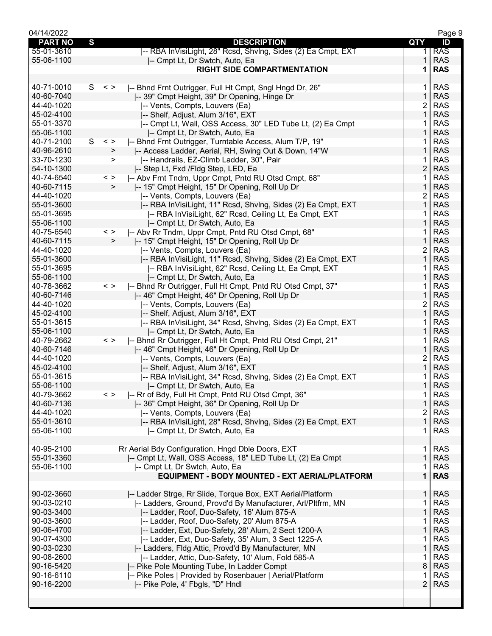| 04/14/2022     |   |              |                                                              |                | Page 9     |
|----------------|---|--------------|--------------------------------------------------------------|----------------|------------|
| <b>PART NO</b> | S |              | <b>DESCRIPTION</b>                                           | QTY            | ID         |
| 55-01-3610     |   |              | -- RBA InVisiLight, 28" Rcsd, ShvIng, Sides (2) Ea Cmpt, EXT | 1.             | <b>RAS</b> |
| 55-06-1100     |   |              | -- Cmpt Lt, Dr Swtch, Auto, Ea                               |                | <b>RAS</b> |
|                |   |              | <b>RIGHT SIDE COMPARTMENTATION</b>                           | 1              | <b>RAS</b> |
|                |   |              |                                                              |                |            |
| 40-71-0010     |   | $S \leq$     | -- Bhnd Frnt Outrigger, Full Ht Cmpt, Sngl Hngd Dr, 26"      | 1.             | <b>RAS</b> |
| 40-60-7040     |   |              | -- 39" Cmpt Height, 39" Dr Opening, Hinge Dr                 | $\mathbf{1}$   | <b>RAS</b> |
| 44-40-1020     |   |              |                                                              | 2              | <b>RAS</b> |
|                |   |              | -- Vents, Compts, Louvers (Ea)                               |                |            |
| 45-02-4100     |   |              | -- Shelf, Adjust, Alum 3/16", EXT                            | 1              | <b>RAS</b> |
| 55-01-3370     |   |              | -- Cmpt Lt, Wall, OSS Access, 30" LED Tube Lt, (2) Ea Cmpt   |                | <b>RAS</b> |
| 55-06-1100     |   |              | -- Cmpt Lt, Dr Swtch, Auto, Ea                               |                | <b>RAS</b> |
| 40-71-2100     | S | $\,<\,>$     | -- Bhnd Frnt Outrigger, Turntable Access, Alum T/P, 19"      |                | <b>RAS</b> |
| 40-96-2610     |   | >            | -- Access Ladder, Aerial, RH, Swing Out & Down, 14"W         |                | <b>RAS</b> |
| 33-70-1230     |   | ➤            | -- Handrails, EZ-Climb Ladder, 30", Pair                     |                | <b>RAS</b> |
| 54-10-1300     |   |              | I-- Step Lt, Fxd / Fldg Step, LED, Ea                        | $\overline{2}$ | <b>RAS</b> |
| 40-74-6540     |   | $\,<\,>$     | -- Abv Frnt Tndm, Uppr Cmpt, Pntd RU Otsd Cmpt, 68"          | 1              | <b>RAS</b> |
| 40-60-7115     |   | $\geq$       | -- 15" Cmpt Height, 15" Dr Opening, Roll Up Dr               | 1              | <b>RAS</b> |
| 44-40-1020     |   |              | -- Vents, Compts, Louvers (Ea)                               | 2              | <b>RAS</b> |
| 55-01-3600     |   |              | -- RBA InVisiLight, 11" Rcsd, ShvIng, Sides (2) Ea Cmpt, EXT | 1              | <b>RAS</b> |
| 55-01-3695     |   |              |                                                              | 1              | <b>RAS</b> |
|                |   |              | -- RBA InVisiLight, 62" Rcsd, Ceiling Lt, Ea Cmpt, EXT       |                |            |
| 55-06-1100     |   |              | -- Cmpt Lt, Dr Swtch, Auto, Ea                               |                | <b>RAS</b> |
| 40-75-6540     |   | $\,<\,>$     | -- Abv Rr Tndm, Uppr Cmpt, Pntd RU Otsd Cmpt, 68"            |                | <b>RAS</b> |
| 40-60-7115     |   | $\mathbf{L}$ | -- 15" Cmpt Height, 15" Dr Opening, Roll Up Dr               | $\mathbf{1}$   | <b>RAS</b> |
| 44-40-1020     |   |              | -- Vents, Compts, Louvers (Ea)                               | 2              | <b>RAS</b> |
| 55-01-3600     |   |              | -- RBA InVisiLight, 11" Rcsd, ShvIng, Sides (2) Ea Cmpt, EXT | 1              | <b>RAS</b> |
| 55-01-3695     |   |              | -- RBA InVisiLight, 62" Rcsd, Ceiling Lt, Ea Cmpt, EXT       |                | <b>RAS</b> |
| 55-06-1100     |   |              | -- Cmpt Lt, Dr Swtch, Auto, Ea                               |                | <b>RAS</b> |
| 40-78-3662     |   | $\,<\,>$     | -- Bhnd Rr Outrigger, Full Ht Cmpt, Pntd RU Otsd Cmpt, 37"   |                | <b>RAS</b> |
| 40-60-7146     |   |              | -- 46" Cmpt Height, 46" Dr Opening, Roll Up Dr               | 1              | <b>RAS</b> |
| 44-40-1020     |   |              | -- Vents, Compts, Louvers (Ea)                               | 2              | <b>RAS</b> |
| 45-02-4100     |   |              | -- Shelf, Adjust, Alum 3/16", EXT                            | $\mathbf{1}$   | <b>RAS</b> |
| 55-01-3615     |   |              | -- RBA InVisiLight, 34" Rcsd, ShvIng, Sides (2) Ea Cmpt, EXT | 1              | <b>RAS</b> |
| 55-06-1100     |   |              | -- Cmpt Lt, Dr Swtch, Auto, Ea                               | 1              | <b>RAS</b> |
| 40-79-2662     |   | $\,<\,>$     | -- Bhnd Rr Outrigger, Full Ht Cmpt, Pntd RU Otsd Cmpt, 21"   |                | <b>RAS</b> |
|                |   |              |                                                              |                | <b>RAS</b> |
| 40-60-7146     |   |              | -- 46" Cmpt Height, 46" Dr Opening, Roll Up Dr               |                |            |
| 44-40-1020     |   |              | -- Vents, Compts, Louvers (Ea)                               | 2              | <b>RAS</b> |
| 45-02-4100     |   |              | -- Shelf, Adjust, Alum 3/16", EXT                            | 1              | <b>RAS</b> |
| 55-01-3615     |   |              | -- RBA InVisiLight, 34" Rcsd, ShvIng, Sides (2) Ea Cmpt, EXT |                | <b>RAS</b> |
| 55-06-1100     |   |              | -- Cmpt Lt, Dr Swtch, Auto, Ea                               | 1              | <b>RAS</b> |
| 40-79-3662     |   | $\langle$ >  | I-- Rr of Bdy, Full Ht Cmpt, Pntd RU Otsd Cmpt, 36"          | 1              | <b>RAS</b> |
| 40-60-7136     |   |              | -- 36" Cmpt Height, 36" Dr Opening, Roll Up Dr               | 1              | <b>RAS</b> |
| 44-40-1020     |   |              | -- Vents, Compts, Louvers (Ea)                               | 2              | <b>RAS</b> |
| 55-01-3610     |   |              | -- RBA InVisiLight, 28" Rcsd, Shvlng, Sides (2) Ea Cmpt, EXT |                | <b>RAS</b> |
| 55-06-1100     |   |              | I-- Cmpt Lt, Dr Swtch, Auto, Ea                              |                | <b>RAS</b> |
|                |   |              |                                                              |                |            |
| 40-95-2100     |   |              | Rr Aerial Bdy Configuration, Hngd Dble Doors, EXT            | 1.             | <b>RAS</b> |
| 55-01-3360     |   |              | -- Cmpt Lt, Wall, OSS Access, 18" LED Tube Lt, (2) Ea Cmpt   | $\mathbf{1}$   | <b>RAS</b> |
| 55-06-1100     |   |              | -- Cmpt Lt, Dr Swtch, Auto, Ea                               | 1              | <b>RAS</b> |
|                |   |              | <b>EQUIPMENT - BODY MOUNTED - EXT AERIAL/PLATFORM</b>        | 1              | <b>RAS</b> |
|                |   |              |                                                              |                |            |
|                |   |              |                                                              |                |            |
| 90-02-3660     |   |              | -- Ladder Strge, Rr Slide, Torque Box, EXT Aerial/Platform   | 1.             | <b>RAS</b> |
| 90-03-0210     |   |              | -- Ladders, Ground, Provd'd By Manufacturer, Arl/Pltfrm, MN  | 1              | <b>RAS</b> |
| 90-03-3400     |   |              | -- Ladder, Roof, Duo-Safety, 16' Alum 875-A                  | 1              | <b>RAS</b> |
| 90-03-3600     |   |              | -- Ladder, Roof, Duo-Safety, 20' Alum 875-A                  | 1              | <b>RAS</b> |
| 90-06-4700     |   |              | -- Ladder, Ext, Duo-Safety, 28' Alum, 2 Sect 1200-A          | $\mathbf{1}$   | <b>RAS</b> |
| 90-07-4300     |   |              | -- Ladder, Ext, Duo-Safety, 35' Alum, 3 Sect 1225-A          | 1              | <b>RAS</b> |
| 90-03-0230     |   |              | -- Ladders, Fldg Attic, Provd'd By Manufacturer, MN          | 1              | <b>RAS</b> |
| 90-08-2600     |   |              | -- Ladder, Attic, Duo-Safety, 10' Alum, Fold 585-A           | 1              | <b>RAS</b> |
| 90-16-5420     |   |              | -- Pike Pole Mounting Tube, In Ladder Compt                  | 8              | <b>RAS</b> |
| 90-16-6110     |   |              | -- Pike Poles   Provided by Rosenbauer   Aerial/Platform     | 1              | <b>RAS</b> |
| 90-16-2200     |   |              | -- Pike Pole, 4' Fbgls, "D" Hndl                             | $\overline{2}$ | <b>RAS</b> |
|                |   |              |                                                              |                |            |
|                |   |              |                                                              |                |            |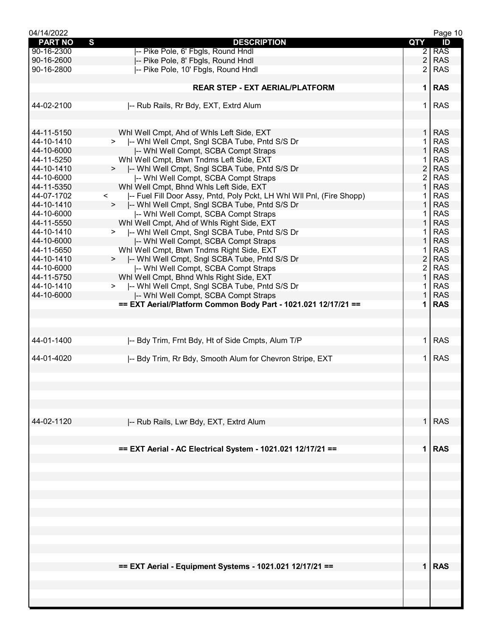| 04/14/2022     |                                                                                  |                | Page 10    |
|----------------|----------------------------------------------------------------------------------|----------------|------------|
| <b>PART NO</b> | S<br><b>DESCRIPTION</b>                                                          | QTY            | ID         |
| 90-16-2300     | I-- Pike Pole, 6' Fbgls, Round Hndl                                              | $\overline{2}$ | <b>RAS</b> |
| 90-16-2600     | -- Pike Pole, 8' Fbgls, Round Hndl                                               | $\overline{2}$ | <b>RAS</b> |
| 90-16-2800     | -- Pike Pole, 10' Fbgls, Round Hndl                                              | $\overline{2}$ | <b>RAS</b> |
|                |                                                                                  |                |            |
|                | <b>REAR STEP - EXT AERIAL/PLATFORM</b>                                           | 1 <sup>1</sup> | <b>RAS</b> |
|                |                                                                                  |                |            |
| 44-02-2100     | -- Rub Rails, Rr Bdy, EXT, Extrd Alum                                            | 1.             | <b>RAS</b> |
|                |                                                                                  |                |            |
|                |                                                                                  |                |            |
| 44-11-5150     | Whl Well Cmpt, Ahd of Whls Left Side, EXT                                        | 1.             | <b>RAS</b> |
| 44-10-1410     | >  -- Whl Well Cmpt, Sngl SCBA Tube, Pntd S/S Dr                                 | 1              | <b>RAS</b> |
| 44-10-6000     | I-- Whl Well Compt, SCBA Compt Straps                                            | $\mathbf{1}$   | <b>RAS</b> |
| 44-11-5250     | Whl Well Cmpt, Btwn Tndms Left Side, EXT                                         | 1              | <b>RAS</b> |
| 44-10-1410     | >  -- Whl Well Cmpt, Sngl SCBA Tube, Pntd S/S Dr                                 | $\overline{2}$ | <b>RAS</b> |
| 44-10-6000     | -- Whi Well Compt, SCBA Compt Straps                                             | $\overline{2}$ | <b>RAS</b> |
| 44-11-5350     | Whl Well Cmpt, Bhnd Whls Left Side, EXT                                          | $\mathbf{1}$   | <b>RAS</b> |
| 44-07-1702     | $\prec$<br>-- Fuel Fill Door Assy, Pntd, Poly Pckt, LH Whl WII Pnl, (Fire Shopp) | 1.             | <b>RAS</b> |
| 44-10-1410     | >  -- Whi Well Cmpt, Sngl SCBA Tube, Pntd S/S Dr                                 | 1              | <b>RAS</b> |
| 44-10-6000     | -- Whi Well Compt, SCBA Compt Straps                                             | 1              | <b>RAS</b> |
| 44-11-5550     | Whl Well Cmpt, Ahd of Whls Right Side, EXT                                       | 1              | <b>RAS</b> |
| 44-10-1410     | >  -- Whl Well Cmpt, Sngl SCBA Tube, Pntd S/S Dr                                 | 1              | <b>RAS</b> |
| 44-10-6000     | -- Whi Well Compt, SCBA Compt Straps                                             | $\mathbf{1}$   | <b>RAS</b> |
| 44-11-5650     | Whl Well Cmpt, Btwn Tndms Right Side, EXT                                        | 1.             | <b>RAS</b> |
| 44-10-1410     | >  -- Whl Well Cmpt, Sngl SCBA Tube, Pntd S/S Dr                                 | $\overline{2}$ | <b>RAS</b> |
| 44-10-6000     | -- Whi Well Compt, SCBA Compt Straps                                             | $\overline{2}$ | <b>RAS</b> |
| 44-11-5750     | Whl Well Cmpt, Bhnd Whls Right Side, EXT                                         | $\mathbf 1$    | <b>RAS</b> |
| 44-10-1410     | >  -- Whl Well Cmpt, Sngl SCBA Tube, Pntd S/S Dr                                 | 1.             | <b>RAS</b> |
| 44-10-6000     | -- Whi Well Compt, SCBA Compt Straps                                             | 1.             | <b>RAS</b> |
|                | == EXT Aerial/Platform Common Body Part - 1021.021 12/17/21 ==                   | 1.             | <b>RAS</b> |
|                |                                                                                  |                |            |
|                |                                                                                  |                |            |
|                |                                                                                  |                |            |
| 44-01-1400     | -- Bdy Trim, Frnt Bdy, Ht of Side Cmpts, Alum T/P                                | $\mathbf 1$    | <b>RAS</b> |
|                |                                                                                  |                |            |
| 44-01-4020     | -- Bdy Trim, Rr Bdy, Smooth Alum for Chevron Stripe, EXT                         |                | <b>RAS</b> |
|                |                                                                                  |                |            |
|                |                                                                                  |                |            |
|                |                                                                                  |                |            |
|                |                                                                                  |                |            |
|                |                                                                                  |                |            |
|                |                                                                                  |                |            |
| 44-02-1120     | I-- Rub Rails, Lwr Bdy, EXT, Extrd Alum                                          |                | $1$ RAS    |
|                |                                                                                  |                |            |
|                |                                                                                  |                |            |
|                | == EXT Aerial - AC Electrical System - 1021.021 12/17/21 ==                      |                | 1 RAS      |
|                |                                                                                  |                |            |
|                |                                                                                  |                |            |
|                |                                                                                  |                |            |
|                |                                                                                  |                |            |
|                |                                                                                  |                |            |
|                |                                                                                  |                |            |
|                |                                                                                  |                |            |
|                |                                                                                  |                |            |
|                |                                                                                  |                |            |
|                |                                                                                  |                |            |
|                |                                                                                  |                |            |
|                |                                                                                  |                |            |
|                |                                                                                  |                |            |
|                | == EXT Aerial - Equipment Systems - 1021.021 12/17/21 ==                         |                | $1$ RAS    |
|                |                                                                                  |                |            |
|                |                                                                                  |                |            |
|                |                                                                                  |                |            |
|                |                                                                                  |                |            |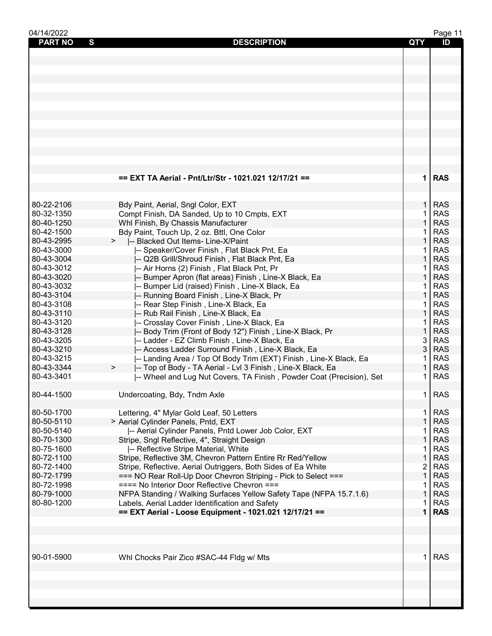| 04/14/2022          |                                                                      |              | Page 11    |
|---------------------|----------------------------------------------------------------------|--------------|------------|
| <b>PART NO</b><br>S | <b>DESCRIPTION</b>                                                   | QTY          | ID         |
|                     |                                                                      |              |            |
|                     |                                                                      |              |            |
|                     |                                                                      |              |            |
|                     |                                                                      |              |            |
|                     |                                                                      |              |            |
|                     |                                                                      |              |            |
|                     |                                                                      |              |            |
|                     |                                                                      |              |            |
|                     |                                                                      |              |            |
|                     |                                                                      |              |            |
|                     |                                                                      |              |            |
|                     |                                                                      |              |            |
|                     |                                                                      |              |            |
|                     |                                                                      |              |            |
|                     |                                                                      |              |            |
|                     | == EXT TA Aerial - Pnt/Ltr/Str - 1021.021 12/17/21 ==                |              | 1 RAS      |
|                     |                                                                      |              |            |
|                     |                                                                      |              |            |
|                     |                                                                      |              |            |
| 80-22-2106          | Bdy Paint, Aerial, Sngl Color, EXT                                   | 1.           | <b>RAS</b> |
| 80-32-1350          | Compt Finish, DA Sanded, Up to 10 Cmpts, EXT                         | 1            | <b>RAS</b> |
| 80-40-1250          | Whl Finish, By Chassis Manufacturer                                  | $\mathbf{1}$ | <b>RAS</b> |
| 80-42-1500          | Bdy Paint, Touch Up, 2 oz. Bttl, One Color                           | 1            | <b>RAS</b> |
| 80-43-2995          | -- Blacked Out Items- Line-X/Paint                                   | $\mathbf{1}$ | <b>RAS</b> |
| 80-43-3000          | -- Speaker/Cover Finish, Flat Black Pnt, Ea                          | 1            | <b>RAS</b> |
| 80-43-3004          | -- Q2B Grill/Shroud Finish, Flat Black Pnt, Ea                       | $\mathbf{1}$ | <b>RAS</b> |
| 80-43-3012          | -- Air Horns (2) Finish, Flat Black Pnt, Pr                          | 1            | <b>RAS</b> |
| 80-43-3020          |                                                                      | 1            | <b>RAS</b> |
|                     | -- Bumper Apron (flat areas) Finish, Line-X Black, Ea                |              |            |
| 80-43-3032          | -- Bumper Lid (raised) Finish, Line-X Black, Ea                      | 1            | <b>RAS</b> |
| 80-43-3104          | -- Running Board Finish, Line-X Black, Pr                            | $\mathbf{1}$ | <b>RAS</b> |
| 80-43-3108          | -- Rear Step Finish, Line-X Black, Ea                                | 1            | <b>RAS</b> |
| 80-43-3110          | -- Rub Rail Finish, Line-X Black, Ea                                 | $\mathbf{1}$ | <b>RAS</b> |
| 80-43-3120          | -- Crosslay Cover Finish, Line-X Black, Ea                           | $\mathbf 1$  | <b>RAS</b> |
| 80-43-3128          | -- Body Trim (Front of Body 12") Finish, Line-X Black, Pr            | $\mathbf{1}$ | <b>RAS</b> |
| 80-43-3205          | -- Ladder - EZ Climb Finish, Line-X Black, Ea                        | 3            | <b>RAS</b> |
| 80-43-3210          | -- Access Ladder Surround Finish, Line-X Black, Ea                   | 3            | <b>RAS</b> |
| 80-43-3215          | -- Landing Area / Top Of Body Trim (EXT) Finish, Line-X Black, Ea    | 1            | <b>RAS</b> |
| 80-43-3344          | -- Top of Body - TA Aerial - Lvl 3 Finish, Line-X Black, Ea<br>$\,$  | 1            | <b>RAS</b> |
| 80-43-3401          | -- Wheel and Lug Nut Covers, TA Finish, Powder Coat (Precision), Set | 1            | <b>RAS</b> |
|                     |                                                                      |              |            |
|                     |                                                                      |              |            |
| 80-44-1500          | Undercoating, Bdy, Tndm Axle                                         | $\mathbf{1}$ | <b>RAS</b> |
|                     |                                                                      |              |            |
| 80-50-1700          | Lettering, 4" Mylar Gold Leaf, 50 Letters                            | $\mathbf{1}$ | <b>RAS</b> |
| 80-50-5110          | > Aerial Cylinder Panels, Pntd, EXT                                  | 1            | <b>RAS</b> |
| 80-50-5140          | -- Aerial Cylinder Panels, Pntd Lower Job Color, EXT                 |              | <b>RAS</b> |
| 80-70-1300          | Stripe, Sngl Reflective, 4", Straight Design                         | 1            | <b>RAS</b> |
| 80-75-1600          | -- Reflective Stripe Material, White                                 | 1            | <b>RAS</b> |
| 80-72-1100          | Stripe, Reflective 3M, Chevron Pattern Entire Rr Red/Yellow          | $\mathbf 1$  | <b>RAS</b> |
| 80-72-1400          | Stripe, Reflective, Aerial Outriggers, Both Sides of Ea White        | 2            | <b>RAS</b> |
| 80-72-1799          | === NO Rear Roll-Up Door Chevron Striping - Pick to Select ===       | $\mathbf{1}$ | <b>RAS</b> |
| 80-72-1998          | ==== No Interior Door Reflective Chevron ===                         | 1            | <b>RAS</b> |
| 80-79-1000          |                                                                      | 1            | <b>RAS</b> |
|                     | NFPA Standing / Walking Surfaces Yellow Safety Tape (NFPA 15.7.1.6)  |              | <b>RAS</b> |
| 80-80-1200          | Labels, Aerial Ladder Identification and Safety                      | 1            |            |
|                     | == EXT Aerial - Loose Equipment - 1021.021 12/17/21 ==               | 1            | <b>RAS</b> |
|                     |                                                                      |              |            |
|                     |                                                                      |              |            |
|                     |                                                                      |              |            |
|                     |                                                                      |              |            |
| 90-01-5900          | Whl Chocks Pair Zico #SAC-44 Fldg w/ Mts                             | 1.           | <b>RAS</b> |
|                     |                                                                      |              |            |
|                     |                                                                      |              |            |
|                     |                                                                      |              |            |
|                     |                                                                      |              |            |
|                     |                                                                      |              |            |
|                     |                                                                      |              |            |